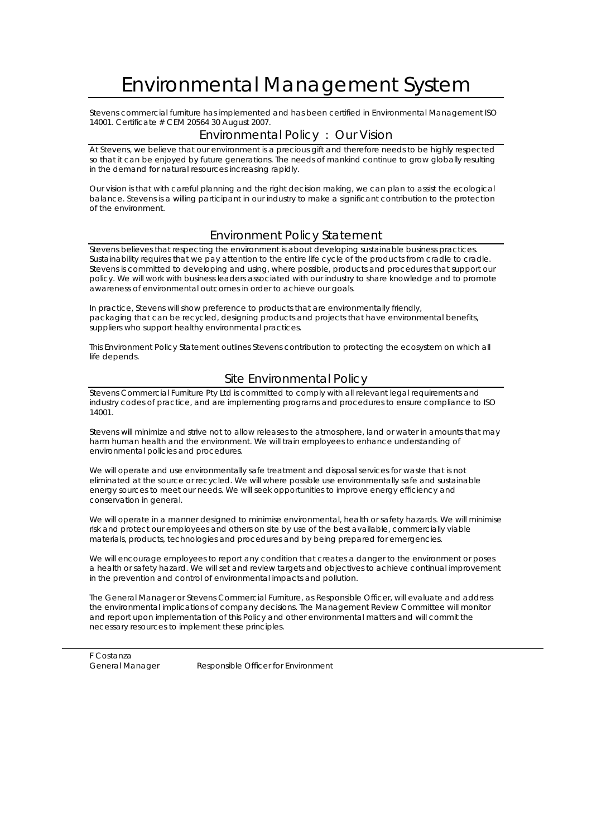# Environmental Management System

Stevens commercial furniture has implemented and has been certified in Environmental Management ISO 14001. Certificate # CEM 20564 30 August 2007.

### Environmental Policy : Our Vision

At Stevens, we believe that our environment is a precious gift and therefore needs to be highly respected so that it can be enjoyed by future generations. The needs of mankind continue to grow globally resulting in the demand for natural resources increasing rapidly.

Our vision is that with careful planning and the right decision making, we can plan to assist the ecological balance. Stevens is a willing participant in our industry to make a significant contribution to the protection of the environment.

#### Environment Policy Statement

Stevens believes that respecting the environment is about developing sustainable business practices. Sustainability requires that we pay attention to the entire life cycle of the products from cradle to cradle. Stevens is committed to developing and using, where possible, products and procedures that support our policy. We will work with business leaders associated with our industry to share knowledge and to promote awareness of environmental outcomes in order to achieve our goals.

In practice, Stevens will show preference to products that are environmentally friendly, packaging that can be recycled, designing products and projects that have environmental benefits, suppliers who support healthy environmental practices.

This Environment Policy Statement outlines Stevens contribution to protecting the ecosystem on which all life depends.

### Site Environmental Policy

Stevens Commercial Furniture Pty Ltd is committed to comply with all relevant legal requirements and industry codes of practice, and are implementing programs and procedures to ensure compliance to ISO 14001.

Stevens will minimize and strive not to allow releases to the atmosphere, land or water in amounts that may harm human health and the environment. We will train employees to enhance understanding of environmental policies and procedures.

We will operate and use environmentally safe treatment and disposal services for waste that is not eliminated at the source or recycled. We will where possible use environmentally safe and sustainable energy sources to meet our needs. We will seek opportunities to improve energy efficiency and conservation in general.

We will operate in a manner designed to minimise environmental, health or safety hazards. We will minimise risk and protect our employees and others on site by use of the best available, commercially viable materials, products, technologies and procedures and by being prepared for emergencies.

We will encourage employees to report any condition that creates a danger to the environment or poses a health or safety hazard. We will set and review targets and objectives to achieve continual improvement in the prevention and control of environmental impacts and pollution.

The General Manager or Stevens Commercial Furniture, as Responsible Officer, will evaluate and address the environmental implications of company decisions. The Management Review Committee will monitor and report upon implementation of this Policy and other environmental matters and will commit the necessary resources to implement these principles.

F Costanza

General Manager Responsible Officer for Environment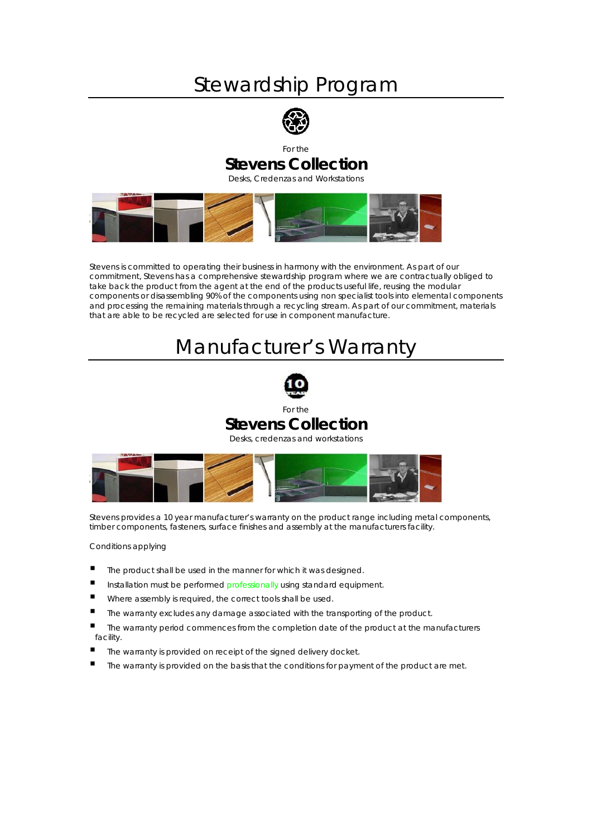## Stewardship Program



## For the **Stevens Collection**

Desks, Credenzas and Workstations



Stevens is committed to operating their business in harmony with the environment. As part of our commitment, Stevens has a comprehensive stewardship program where we are contractually obliged to take back the product from the agent at the end of the products useful life, reusing the modular components or disassembling 90% of the components using non specialist tools into elemental components and processing the remaining materials through a recycling stream. As part of our commitment, materials that are able to be recycled are selected for use in component manufacture.

# Manufacturer's Warranty



For the

## **Stevens Collection**

Desks, credenzas and workstations



Stevens provides a 10 year manufacturer's warranty on the product range including metal components, timber components, fasteners, surface finishes and assembly at the manufacturers facility.

Conditions applying

- The product shall be used in the manner for which it was designed.
- Installation must be performed professionally using standard equipment.
- Where assembly is required, the correct tools shall be used.
- The warranty excludes any damage associated with the transporting of the product.
- The warranty period commences from the completion date of the product at the manufacturers facility.
- The warranty is provided on receipt of the signed delivery docket.
- $\blacksquare$  The warranty is provided on the basis that the conditions for payment of the product are met.